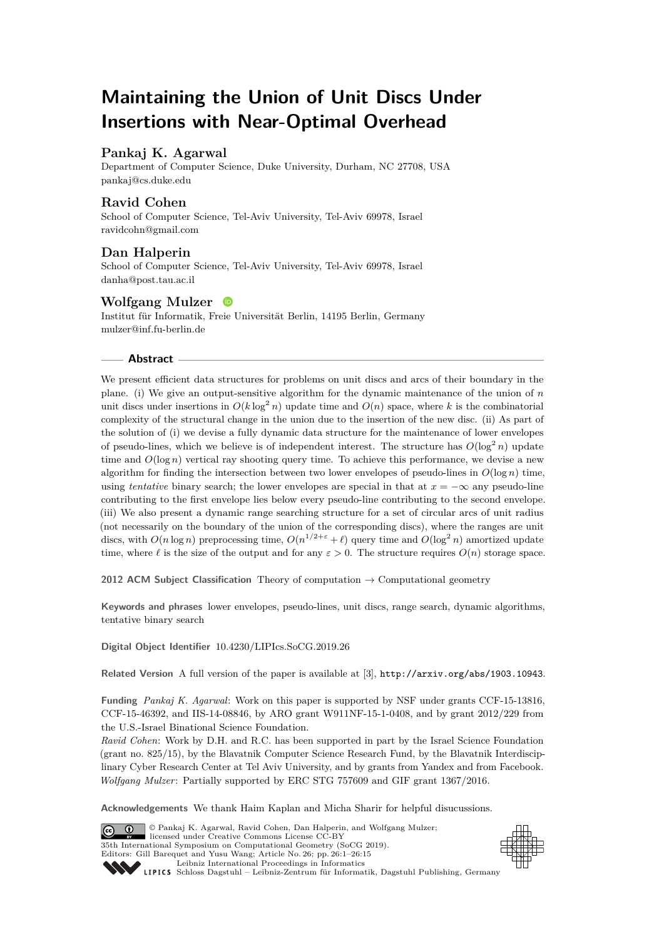# **Maintaining the Union of Unit Discs Under Insertions with Near-Optimal Overhead**

# **Pankaj K. Agarwal**

Department of Computer Science, Duke University, Durham, NC 27708, USA [pankaj@cs.duke.edu](mailto:pankaj@cs.duke.edu)

# **Ravid Cohen**

School of Computer Science, Tel-Aviv University, Tel-Aviv 69978, Israel [ravidcohn@gmail.com](mailto:ravidcohn@gmail.com)

## **Dan Halperin**

School of Computer Science, Tel-Aviv University, Tel-Aviv 69978, Israel [danha@post.tau.ac.il](mailto:danha@post.tau.ac.il)

# **Wolfgang Mulzer**

Institut für Informatik, Freie Universität Berlin, 14195 Berlin, Germany [mulzer@inf.fu-berlin.de](mailto:mulzer@inf.fu-berlin.de)

#### **Abstract**

We present efficient data structures for problems on unit discs and arcs of their boundary in the plane. (i) We give an output-sensitive algorithm for the dynamic maintenance of the union of *n* unit discs under insertions in  $O(k \log^2 n)$  update time and  $O(n)$  space, where k is the combinatorial complexity of the structural change in the union due to the insertion of the new disc. (ii) As part of the solution of (i) we devise a fully dynamic data structure for the maintenance of lower envelopes of pseudo-lines, which we believe is of independent interest. The structure has  $O(\log^2 n)$  update time and  $O(\log n)$  vertical ray shooting query time. To achieve this performance, we devise a new algorithm for finding the intersection between two lower envelopes of pseudo-lines in  $O(\log n)$  time, using *tentative* binary search; the lower envelopes are special in that at  $x = -\infty$  any pseudo-line contributing to the first envelope lies below every pseudo-line contributing to the second envelope. (iii) We also present a dynamic range searching structure for a set of circular arcs of unit radius (not necessarily on the boundary of the union of the corresponding discs), where the ranges are unit discs, with  $O(n \log n)$  preprocessing time,  $O(n^{1/2+\varepsilon} + \ell)$  query time and  $O(\log^2 n)$  amortized update time, where  $\ell$  is the size of the output and for any  $\varepsilon > 0$ . The structure requires  $O(n)$  storage space.

**2012 ACM Subject Classification** Theory of computation → Computational geometry

**Keywords and phrases** lower envelopes, pseudo-lines, unit discs, range search, dynamic algorithms, tentative binary search

**Digital Object Identifier** [10.4230/LIPIcs.SoCG.2019.26](https://doi.org/10.4230/LIPIcs.SoCG.2019.26)

**Related Version** A full version of the paper is available at [\[3\]](#page-13-0), <http://arxiv.org/abs/1903.10943>.

**Funding** *Pankaj K. Agarwal*: Work on this paper is supported by NSF under grants CCF-15-13816, CCF-15-46392, and IIS-14-08846, by ARO grant W911NF-15-1-0408, and by grant 2012/229 from the U.S.-Israel Binational Science Foundation.

*Ravid Cohen*: Work by D.H. and R.C. has been supported in part by the Israel Science Foundation (grant no. 825/15), by the Blavatnik Computer Science Research Fund, by the Blavatnik Interdisciplinary Cyber Research Center at Tel Aviv University, and by grants from Yandex and from Facebook. *Wolfgang Mulzer*: Partially supported by ERC STG 757609 and GIF grant 1367/2016.

**Acknowledgements** We thank Haim Kaplan and Micha Sharir for helpful disucussions.

© Pankaj K. Agarwal, Ravid Cohen, Dan Halperin, and Wolfgang Mulzer;  $\boxed{6}$   $\boxed{0}$ licensed under Creative Commons License CC-BY 35th International Symposium on Computational Geometry (SoCG 2019). Editors: Gill Barequet and Yusu Wang; Article No. 26; pp. 26:1–26[:15](#page-14-0) [Leibniz International Proceedings in Informatics](https://www.dagstuhl.de/lipics/)



SCHLOSS Dagstuhl – Leibniz-Zentrum für Informatik, Dagstuhl Publishing, Germany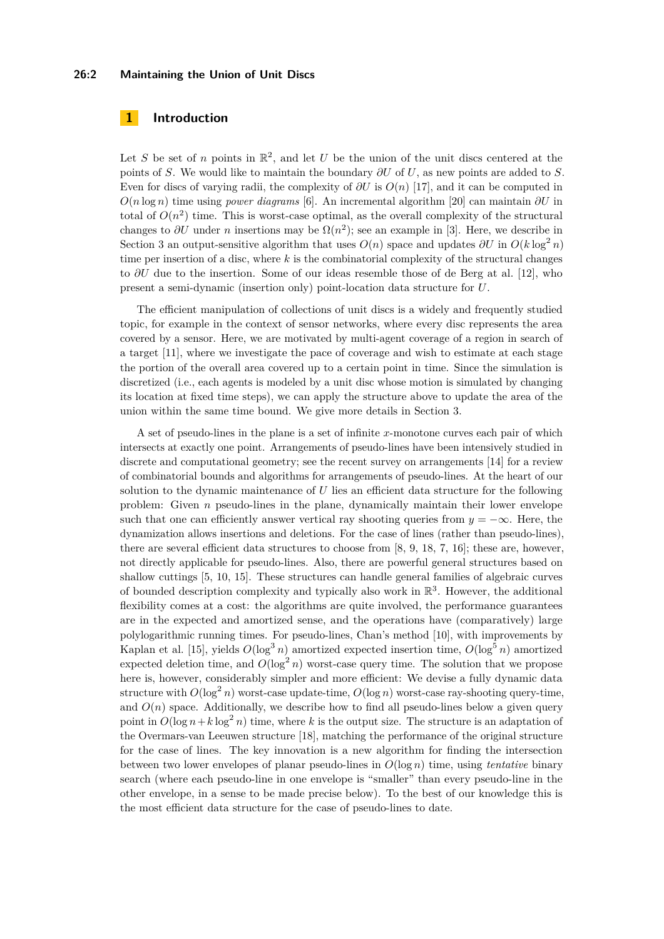#### **26:2 Maintaining the Union of Unit Discs**

# **1 Introduction**

Let *S* be set of *n* points in  $\mathbb{R}^2$ , and let *U* be the union of the unit discs centered at the points of *S*. We would like to maintain the boundary *∂U* of *U*, as new points are added to *S*. Even for discs of varying radii, the complexity of *∂U* is *O*(*n*) [\[17\]](#page-14-1), and it can be computed in *O*(*n* log *n*) time using *power diagrams* [\[6\]](#page-14-2). An incremental algorithm [\[20\]](#page-14-3) can maintain *∂U* in total of  $O(n^2)$  time. This is worst-case optimal, as the overall complexity of the structural changes to  $\partial U$  under *n* insertions may be  $\Omega(n^2)$ ; see an example in [\[3\]](#page-13-0). Here, we describe in Section [3](#page-7-0) an output-sensitive algorithm that uses  $O(n)$  space and updates  $\partial U$  in  $O(k \log^2 n)$ time per insertion of a disc, where *k* is the combinatorial complexity of the structural changes to *∂U* due to the insertion. Some of our ideas resemble those of de Berg at al. [\[12\]](#page-14-4), who present a semi-dynamic (insertion only) point-location data structure for *U*.

The efficient manipulation of collections of unit discs is a widely and frequently studied topic, for example in the context of sensor networks, where every disc represents the area covered by a sensor. Here, we are motivated by multi-agent coverage of a region in search of a target [\[11\]](#page-14-5), where we investigate the pace of coverage and wish to estimate at each stage the portion of the overall area covered up to a certain point in time. Since the simulation is discretized (i.e., each agents is modeled by a unit disc whose motion is simulated by changing its location at fixed time steps), we can apply the structure above to update the area of the union within the same time bound. We give more details in Section [3.](#page-7-0)

A set of pseudo-lines in the plane is a set of infinite *x*-monotone curves each pair of which intersects at exactly one point. Arrangements of pseudo-lines have been intensively studied in discrete and computational geometry; see the recent survey on arrangements [\[14\]](#page-14-6) for a review of combinatorial bounds and algorithms for arrangements of pseudo-lines. At the heart of our solution to the dynamic maintenance of *U* lies an efficient data structure for the following problem: Given *n* pseudo-lines in the plane, dynamically maintain their lower envelope such that one can efficiently answer vertical ray shooting queries from  $y = -\infty$ . Here, the dynamization allows insertions and deletions. For the case of lines (rather than pseudo-lines), there are several efficient data structures to choose from [\[8,](#page-14-7) [9,](#page-14-8) [18,](#page-14-9) [7,](#page-14-10) [16\]](#page-14-11); these are, however, not directly applicable for pseudo-lines. Also, there are powerful general structures based on shallow cuttings [\[5,](#page-13-1) [10,](#page-14-12) [15\]](#page-14-13). These structures can handle general families of algebraic curves of bounded description complexity and typically also work in  $\mathbb{R}^3$ . However, the additional flexibility comes at a cost: the algorithms are quite involved, the performance guarantees are in the expected and amortized sense, and the operations have (comparatively) large polylogarithmic running times. For pseudo-lines, Chan's method [\[10\]](#page-14-12), with improvements by Kaplan et al. [\[15\]](#page-14-13), yields  $O(\log^3 n)$  amortized expected insertion time,  $O(\log^5 n)$  amortized expected deletion time, and  $O(\log^2 n)$  worst-case query time. The solution that we propose here is, however, considerably simpler and more efficient: We devise a fully dynamic data structure with  $O(\log^2 n)$  worst-case update-time,  $O(\log n)$  worst-case ray-shooting query-time, and  $O(n)$  space. Additionally, we describe how to find all pseudo-lines below a given query point in  $O(\log n + k \log^2 n)$  time, where k is the output size. The structure is an adaptation of the Overmars-van Leeuwen structure [\[18\]](#page-14-9), matching the performance of the original structure for the case of lines. The key innovation is a new algorithm for finding the intersection between two lower envelopes of planar pseudo-lines in *O*(log *n*) time, using *tentative* binary search (where each pseudo-line in one envelope is "smaller" than every pseudo-line in the other envelope, in a sense to be made precise below). To the best of our knowledge this is the most efficient data structure for the case of pseudo-lines to date.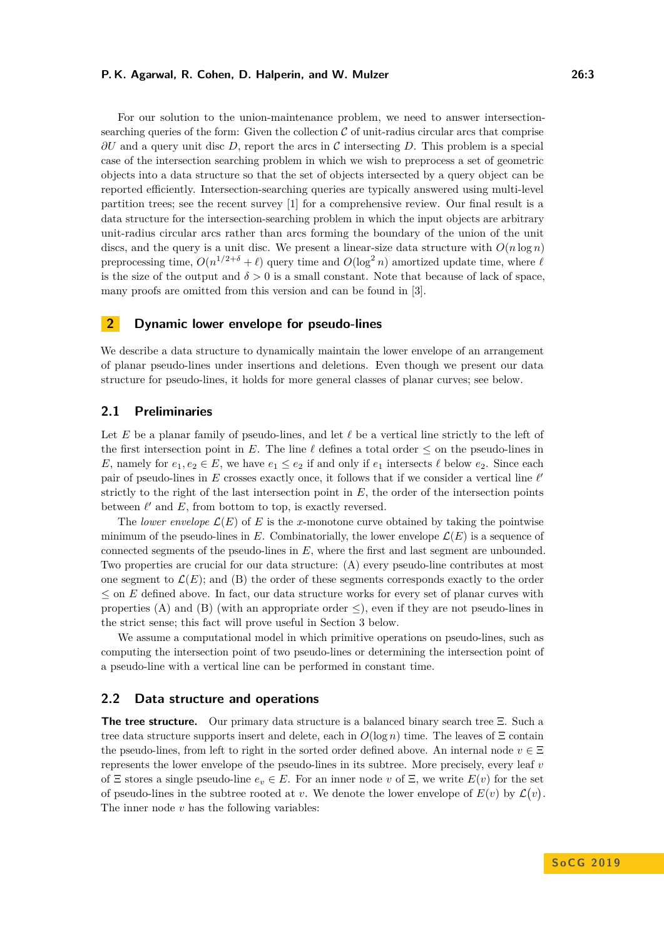For our solution to the union-maintenance problem, we need to answer intersectionsearching queries of the form: Given the collection  $\mathcal C$  of unit-radius circular arcs that comprise *∂U* and a query unit disc *D*, report the arcs in C intersecting *D*. This problem is a special case of the intersection searching problem in which we wish to preprocess a set of geometric objects into a data structure so that the set of objects intersected by a query object can be reported efficiently. Intersection-searching queries are typically answered using multi-level partition trees; see the recent survey [\[1\]](#page-13-2) for a comprehensive review. Our final result is a data structure for the intersection-searching problem in which the input objects are arbitrary unit-radius circular arcs rather than arcs forming the boundary of the union of the unit discs, and the query is a unit disc. We present a linear-size data structure with  $O(n \log n)$ preprocessing time,  $O(n^{1/2+\delta} + \ell)$  query time and  $O(\log^2 n)$  amortized update time, where  $\ell$ is the size of the output and  $\delta > 0$  is a small constant. Note that because of lack of space, many proofs are omitted from this version and can be found in [\[3\]](#page-13-0).

# <span id="page-2-0"></span>**2 Dynamic lower envelope for pseudo-lines**

We describe a data structure to dynamically maintain the lower envelope of an arrangement of planar pseudo-lines under insertions and deletions. Even though we present our data structure for pseudo-lines, it holds for more general classes of planar curves; see below.

# **2.1 Preliminaries**

Let E be a planar family of pseudo-lines, and let  $\ell$  be a vertical line strictly to the left of the first intersection point in *E*. The line  $\ell$  defines a total order  $\leq$  on the pseudo-lines in *E*, namely for  $e_1, e_2 \in E$ , we have  $e_1 \leq e_2$  if and only if  $e_1$  intersects  $\ell$  below  $e_2$ . Since each pair of pseudo-lines in  $E$  crosses exactly once, it follows that if we consider a vertical line  $\ell'$ strictly to the right of the last intersection point in  $E$ , the order of the intersection points between  $\ell'$  and  $E$ , from bottom to top, is exactly reversed.

The *lower envelope*  $\mathcal{L}(E)$  of E is the *x*-monotone curve obtained by taking the pointwise minimum of the pseudo-lines in  $E$ . Combinatorially, the lower envelope  $\mathcal{L}(E)$  is a sequence of connected segments of the pseudo-lines in *E*, where the first and last segment are unbounded. Two properties are crucial for our data structure: (A) every pseudo-line contributes at most one segment to  $\mathcal{L}(E)$ ; and (B) the order of these segments corresponds exactly to the order ≤ on *E* defined above. In fact, our data structure works for every set of planar curves with properties (A) and (B) (with an appropriate order  $\leq$ ), even if they are not pseudo-lines in the strict sense; this fact will prove useful in Section [3](#page-7-0) below.

We assume a computational model in which primitive operations on pseudo-lines, such as computing the intersection point of two pseudo-lines or determining the intersection point of a pseudo-line with a vertical line can be performed in constant time.

## **2.2 Data structure and operations**

**The tree structure.** Our primary data structure is a balanced binary search tree Ξ. Such a tree data structure supports insert and delete, each in *O*(log *n*) time. The leaves of Ξ contain the pseudo-lines, from left to right in the sorted order defined above. An internal node  $v \in \Xi$ represents the lower envelope of the pseudo-lines in its subtree. More precisely, every leaf *v* of  $\Xi$  stores a single pseudo-line  $e_v \in E$ . For an inner node *v* of  $\Xi$ , we write  $E(v)$  for the set of pseudo-lines in the subtree rooted at *v*. We denote the lower envelope of  $E(v)$  by  $\mathcal{L}(v)$ . The inner node *v* has the following variables: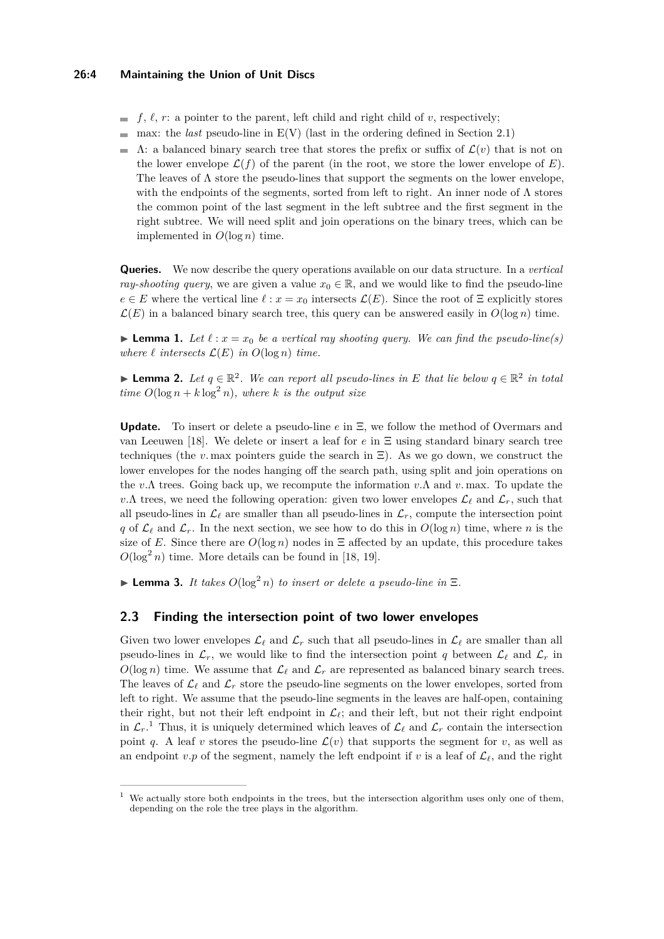#### **26:4 Maintaining the Union of Unit Discs**

- $f, \ell, r$ : a pointer to the parent, left child and right child of *v*, respectively;
- $\blacksquare$  max: the *last* pseudo-line in  $E(V)$  (last in the ordering defined in Section 2.1)
- $Λ$ : a balanced binary search tree that stores the prefix or suffix of  $\mathcal{L}(v)$  that is not on the lower envelope  $\mathcal{L}(f)$  of the parent (in the root, we store the lower envelope of  $E$ ). The leaves of  $\Lambda$  store the pseudo-lines that support the segments on the lower envelope, with the endpoints of the segments, sorted from left to right. An inner node of  $\Lambda$  stores the common point of the last segment in the left subtree and the first segment in the right subtree. We will need split and join operations on the binary trees, which can be implemented in  $O(\log n)$  time.

**Queries.** We now describe the query operations available on our data structure. In a *vertical ray-shooting query*, we are given a value  $x_0 \in \mathbb{R}$ , and we would like to find the pseudo-line  $e \in E$  where the vertical line  $\ell : x = x_0$  intersects  $\mathcal{L}(E)$ . Since the root of Ξ explicitly stores  $\mathcal{L}(E)$  in a balanced binary search tree, this query can be answered easily in  $O(\log n)$  time.

**Lemma 1.** Let  $\ell : x = x_0$  be a vertical ray shooting query. We can find the pseudo-line(s) *where*  $\ell$  *intersects*  $\mathcal{L}(E)$  *in*  $O(\log n)$  *time.* 

**Example 12.** Let  $q \in \mathbb{R}^2$ . We can report all pseudo-lines in E that lie below  $q \in \mathbb{R}^2$  in total *time*  $O(\log n + k \log^2 n)$ *, where k is the output size* 

**Update.** To insert or delete a pseudo-line *e* in Ξ, we follow the method of Overmars and van Leeuwen [\[18\]](#page-14-9). We delete or insert a leaf for *e* in Ξ using standard binary search tree techniques (the *v*. max pointers guide the search in  $\Xi$ ). As we go down, we construct the lower envelopes for the nodes hanging off the search path, using split and join operations on the *v.*Λ trees. Going back up, we recompute the information *v.*Λ and *v.* max. To update the *v.*Λ trees, we need the following operation: given two lower envelopes  $\mathcal{L}_{\ell}$  and  $\mathcal{L}_r$ , such that all pseudo-lines in  $\mathcal{L}_\ell$  are smaller than all pseudo-lines in  $\mathcal{L}_r$ , compute the intersection point *q* of  $\mathcal{L}_{\ell}$  and  $\mathcal{L}_r$ . In the next section, we see how to do this in  $O(\log n)$  time, where *n* is the size of *E*. Since there are  $O(\log n)$  nodes in  $\Xi$  affected by an update, this procedure takes  $O(\log^2 n)$  time. More details can be found in [\[18,](#page-14-9) [19\]](#page-14-14).

**Lemma 3.** *It takes*  $O(\log^2 n)$  *to insert or delete a pseudo-line in*  $\Xi$ *.* 

## **2.3 Finding the intersection point of two lower envelopes**

Given two lower envelopes  $\mathcal{L}_\ell$  and  $\mathcal{L}_r$  such that all pseudo-lines in  $\mathcal{L}_\ell$  are smaller than all pseudo-lines in  $\mathcal{L}_r$ , we would like to find the intersection point *q* between  $\mathcal{L}_\ell$  and  $\mathcal{L}_r$  in  $O(\log n)$  time. We assume that  $\mathcal{L}_{\ell}$  and  $\mathcal{L}_r$  are represented as balanced binary search trees. The leaves of  $\mathcal{L}_{\ell}$  and  $\mathcal{L}_r$  store the pseudo-line segments on the lower envelopes, sorted from left to right. We assume that the pseudo-line segments in the leaves are half-open, containing their right, but not their left endpoint in  $\mathcal{L}_{\ell}$ ; and their left, but not their right endpoint in  $\mathcal{L}_r$ .<sup>[1](#page-3-0)</sup> Thus, it is uniquely determined which leaves of  $\mathcal{L}_\ell$  and  $\mathcal{L}_r$  contain the intersection point *q*. A leaf *v* stores the pseudo-line  $\mathcal{L}(v)$  that supports the segment for *v*, as well as an endpoint  $v.p$  of the segment, namely the left endpoint if  $v$  is a leaf of  $\mathcal{L}_{\ell}$ , and the right

<span id="page-3-0"></span><sup>&</sup>lt;sup>1</sup> We actually store both endpoints in the trees, but the intersection algorithm uses only one of them, depending on the role the tree plays in the algorithm.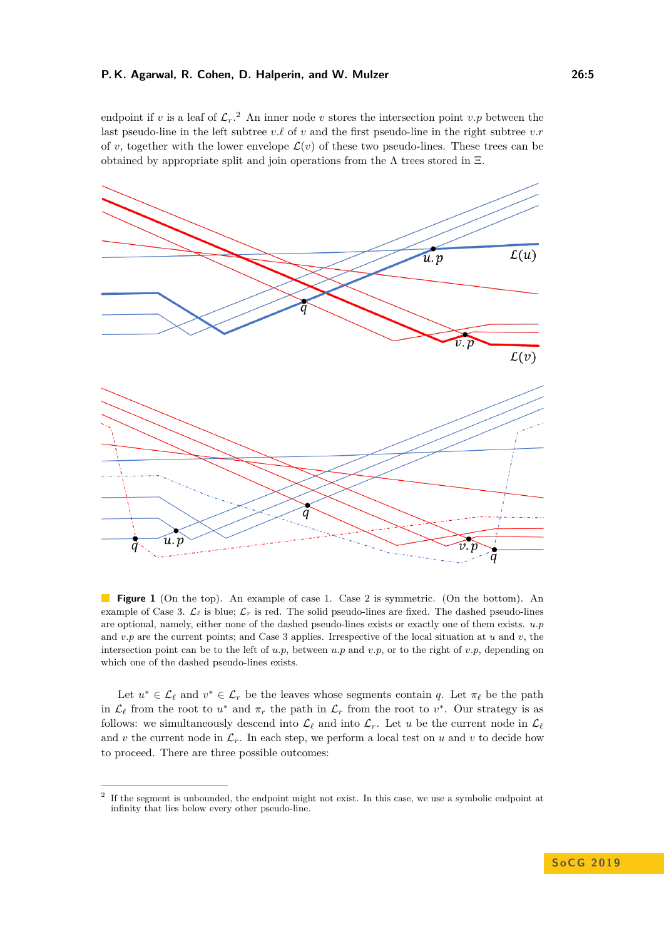endpoint if *v* is a leaf of  $\mathcal{L}_r$ .<sup>[2](#page-4-0)</sup> An inner node *v* stores the intersection point *v.p* between the last pseudo-line in the left subtree  $v.\ell$  of  $v$  and the first pseudo-line in the right subtree  $v.r$ of *v*, together with the lower envelope  $\mathcal{L}(v)$  of these two pseudo-lines. These trees can be obtained by appropriate split and join operations from the  $\Lambda$  trees stored in  $\Xi$ .

<span id="page-4-1"></span>

**Figure 1** (On the top). An example of case 1. Case 2 is symmetric. (On the bottom). An example of Case 3.  $\mathcal{L}_{\ell}$  is blue;  $\mathcal{L}_r$  is red. The solid pseudo-lines are fixed. The dashed pseudo-lines are optional, namely, either none of the dashed pseudo-lines exists or exactly one of them exists. *u.p* and *v.p* are the current points; and Case 3 applies. Irrespective of the local situation at *u* and *v*, the intersection point can be to the left of  $u.p$ , between  $u.p$  and  $v.p$ , or to the right of  $v.p$ , depending on which one of the dashed pseudo-lines exists.

Let  $u^* \in \mathcal{L}_\ell$  and  $v^* \in \mathcal{L}_r$  be the leaves whose segments contain *q*. Let  $\pi_\ell$  be the path in  $\mathcal{L}_{\ell}$  from the root to  $u^*$  and  $\pi_r$  the path in  $\mathcal{L}_r$  from the root to  $v^*$ . Our strategy is as follows: we simultaneously descend into  $\mathcal{L}_\ell$  and into  $\mathcal{L}_r$ . Let *u* be the current node in  $\mathcal{L}_\ell$ and *v* the current node in  $\mathcal{L}_r$ . In each step, we perform a local test on *u* and *v* to decide how to proceed. There are three possible outcomes:

<span id="page-4-0"></span><sup>2</sup> If the segment is unbounded, the endpoint might not exist. In this case, we use a symbolic endpoint at infinity that lies below every other pseudo-line.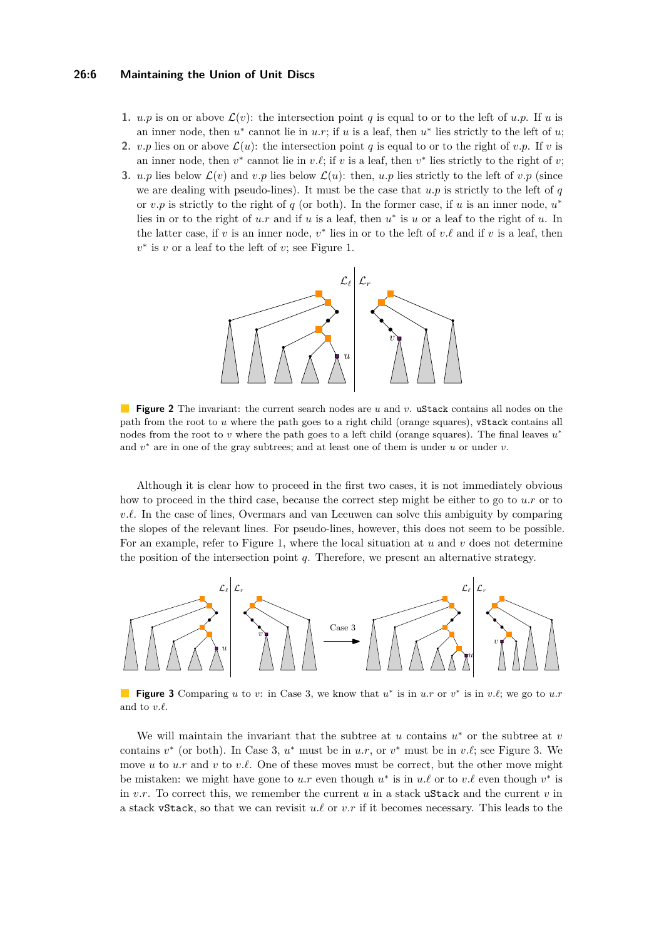#### **26:6 Maintaining the Union of Unit Discs**

- **1.** *u.p* is on or above  $\mathcal{L}(v)$ : the intersection point *q* is equal to or to the left of *u.p.* If *u* is an inner node, then  $u^*$  cannot lie in  $u.r$ ; if  $u$  is a leaf, then  $u^*$  lies strictly to the left of  $u$ ;
- **2.** *v.p* lies on or above  $\mathcal{L}(u)$ : the intersection point *q* is equal to or to the right of *v.p.* If *v* is an inner node, then  $v^*$  cannot lie in  $v.\ell$ ; if  $v$  is a leaf, then  $v^*$  lies strictly to the right of  $v$ ;
- **3.** *u.p* lies below  $\mathcal{L}(v)$  and *v.p* lies below  $\mathcal{L}(u)$ : then, *u.p* lies strictly to the left of *v.p* (since we are dealing with pseudo-lines). It must be the case that  $u.p$  is strictly to the left of  $q$ or  $v.p$  is strictly to the right of  $q$  (or both). In the former case, if  $u$  is an inner node,  $u^*$ lies in or to the right of *u.r* and if *u* is a leaf, then  $u^*$  is *u* or a leaf to the right of *u*. In the latter case, if  $v$  is an inner node,  $v^*$  lies in or to the left of  $v.\ell$  and if  $v$  is a leaf, then  $v^*$  is *v* or a leaf to the left of *v*; see Figure [1.](#page-4-1)

<span id="page-5-1"></span>

**Figure 2** The invariant: the current search nodes are *u* and *v*. uStack contains all nodes on the path from the root to *u* where the path goes to a right child (orange squares), vStack contains all nodes from the root to *v* where the path goes to a left child (orange squares). The final leaves  $u^*$ and  $v$ <sup>\*</sup> are in one of the gray subtrees; and at least one of them is under *u* or under *v*.

Although it is clear how to proceed in the first two cases, it is not immediately obvious how to proceed in the third case, because the correct step might be either to go to *u.r* or to  $v.\ell$ . In the case of lines, Overmars and van Leeuwen can solve this ambiguity by comparing the slopes of the relevant lines. For pseudo-lines, however, this does not seem to be possible. For an example, refer to Figure [1,](#page-4-1) where the local situation at *u* and *v* does not determine the position of the intersection point *q*. Therefore, we present an alternative strategy.

<span id="page-5-0"></span>

**Figure 3** Comparing *u* to *v*: in Case 3, we know that  $u^*$  is in *u.r* or  $v^*$  is in *v.*<sup>*t*</sup>, we go to *u.r* and to  $v.\ell$ .

We will maintain the invariant that the subtree at  $u$  contains  $u^*$  or the subtree at  $v$ contains  $v^*$  (or both). In Case 3,  $u^*$  must be in  $u.r$ , or  $v^*$  must be in  $v.\ell$ ; see Figure [3.](#page-5-0) We move *u* to *u.r* and *v* to *v.l.* One of these moves must be correct, but the other move might be mistaken: we might have gone to  $u.r$  even though  $u^*$  is in  $u.\ell$  or to  $v.\ell$  even though  $v^*$  is in  $v.r.$  To correct this, we remember the current  $u$  in a stack ustack and the current  $v$  in a stack vStack, so that we can revisit  $u.\ell$  or  $v.r$  if it becomes necessary. This leads to the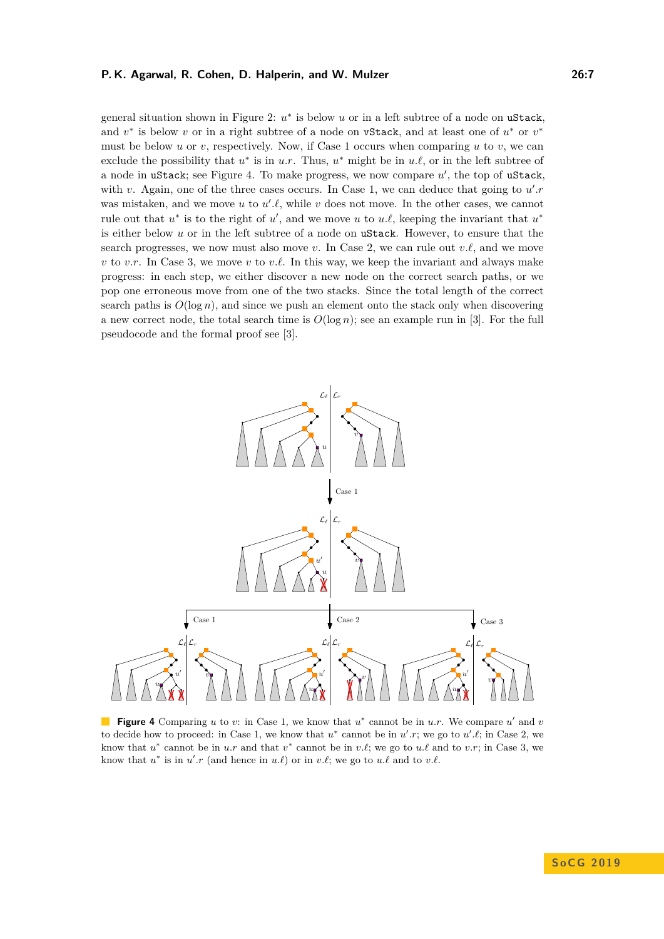general situation shown in Figure [2:](#page-5-1)  $u^*$  is below *u* or in a left subtree of a node on uStack, and  $v^*$  is below v or in a right subtree of a node on vStack, and at least one of  $u^*$  or  $v^*$ must be below *u* or *v*, respectively. Now, if Case 1 occurs when comparing *u* to *v*, we can exclude the possibility that  $u^*$  is in  $u.r$ . Thus,  $u^*$  might be in  $u.\ell$ , or in the left subtree of a node in uStack; see Figure [4.](#page-6-0) To make progress, we now compare  $u'$ , the top of uStack, with *v*. Again, one of the three cases occurs. In Case 1, we can deduce that going to  $u'.r$ was mistaken, and we move  $u$  to  $u'.\ell$ , while  $v$  does not move. In the other cases, we cannot rule out that  $u^*$  is to the right of  $u'$ , and we move  $u$  to  $u.\ell$ , keeping the invariant that  $u^*$ is either below *u* or in the left subtree of a node on uStack. However, to ensure that the search progresses, we now must also move  $v$ . In Case 2, we can rule out  $v.\ell$ , and we move *v* to *v.r.* In Case 3, we move *v* to *v.l.* In this way, we keep the invariant and always make progress: in each step, we either discover a new node on the correct search paths, or we pop one erroneous move from one of the two stacks. Since the total length of the correct search paths is  $O(\log n)$ , and since we push an element onto the stack only when discovering a new correct node, the total search time is  $O(\log n)$ ; see an example run in [\[3\]](#page-13-0). For the full pseudocode and the formal proof see [\[3\]](#page-13-0).

<span id="page-6-0"></span>

**Figure 4** Comparing  $u$  to  $v$ : in Case 1, we know that  $u^*$  cannot be in  $u.r$ . We compare  $u'$  and  $v$ to decide how to proceed: in Case 1, we know that  $u^*$  cannot be in  $u'.r$ ; we go to  $u'.\ell$ ; in Case 2, we know that  $u^*$  cannot be in *u.r* and that  $v^*$  cannot be in *v.*<sup>*l*</sup>; we go to *u.*<sup>*l*</sup> and to *v.r*; in Case 3, we know that  $u^*$  is in  $u'.r$  (and hence in  $u.\ell$ ) or in  $v.\ell$ ; we go to  $u.\ell$  and to  $v.\ell$ .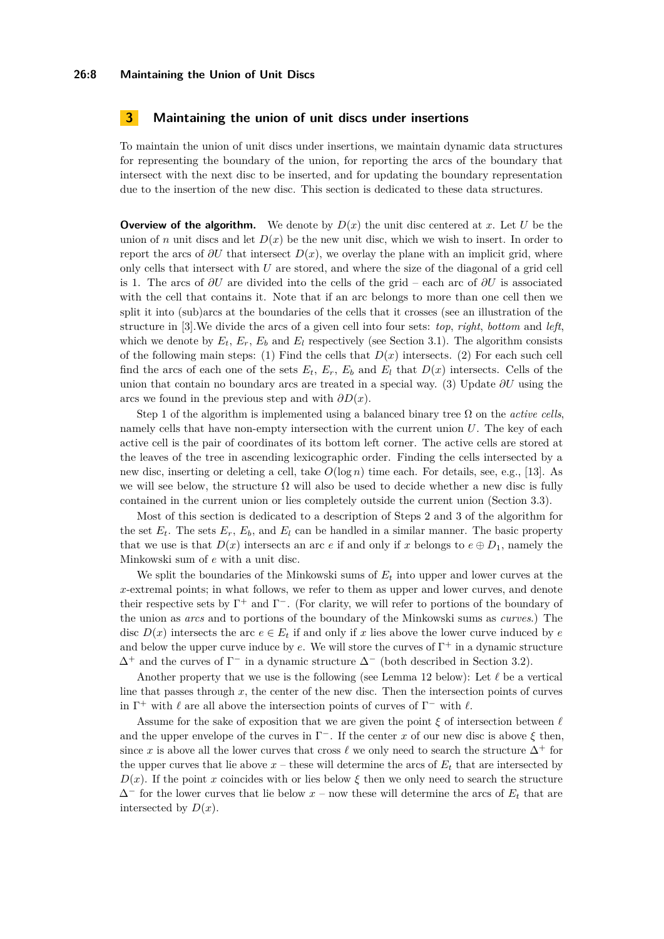#### **26:8 Maintaining the Union of Unit Discs**

## <span id="page-7-0"></span>**3 Maintaining the union of unit discs under insertions**

To maintain the union of unit discs under insertions, we maintain dynamic data structures for representing the boundary of the union, for reporting the arcs of the boundary that intersect with the next disc to be inserted, and for updating the boundary representation due to the insertion of the new disc. This section is dedicated to these data structures.

**Overview of the algorithm.** We denote by  $D(x)$  the unit disc centered at x. Let U be the union of *n* unit discs and let  $D(x)$  be the new unit disc, which we wish to insert. In order to report the arcs of  $\partial U$  that intersect  $D(x)$ , we overlay the plane with an implicit grid, where only cells that intersect with *U* are stored, and where the size of the diagonal of a grid cell is 1. The arcs of *∂U* are divided into the cells of the grid – each arc of *∂U* is associated with the cell that contains it. Note that if an arc belongs to more than one cell then we split it into (sub)arcs at the boundaries of the cells that it crosses (see an illustration of the structure in [\[3\]](#page-13-0).We divide the arcs of a given cell into four sets: *top*, *right*, *bottom* and *left*, which we denote by  $E_t$ ,  $E_r$ ,  $E_b$  and  $E_l$  respectively (see Section [3.1\)](#page-8-0). The algorithm consists of the following main steps: (1) Find the cells that  $D(x)$  intersects. (2) For each such cell find the arcs of each one of the sets  $E_t$ ,  $E_r$ ,  $E_b$  and  $E_l$  that  $D(x)$  intersects. Cells of the union that contain no boundary arcs are treated in a special way. (3) Update *∂U* using the arcs we found in the previous step and with *∂D*(*x*).

Step 1 of the algorithm is implemented using a balanced binary tree  $\Omega$  on the *active cells*, namely cells that have non-empty intersection with the current union *U*. The key of each active cell is the pair of coordinates of its bottom left corner. The active cells are stored at the leaves of the tree in ascending lexicographic order. Finding the cells intersected by a new disc, inserting or deleting a cell, take *O*(log *n*) time each. For details, see, e.g., [\[13\]](#page-14-15). As we will see below, the structure  $\Omega$  will also be used to decide whether a new disc is fully contained in the current union or lies completely outside the current union (Section [3.3\)](#page-12-0).

Most of this section is dedicated to a description of Steps 2 and 3 of the algorithm for the set  $E_t$ . The sets  $E_r$ ,  $E_b$ , and  $E_l$  can be handled in a similar manner. The basic property that we use is that  $D(x)$  intersects an arc *e* if and only if *x* belongs to  $e \oplus D_1$ , namely the Minkowski sum of *e* with a unit disc.

We split the boundaries of the Minkowski sums of *E<sup>t</sup>* into upper and lower curves at the *x*-extremal points; in what follows, we refer to them as upper and lower curves, and denote their respective sets by  $\Gamma^+$  and  $\Gamma^-$ . (For clarity, we will refer to portions of the boundary of the union as *arcs* and to portions of the boundary of the Minkowski sums as *curves*.) The disc  $D(x)$  intersects the arc  $e \in E_t$  if and only if x lies above the lower curve induced by *e* and below the upper curve induce by  $e$ . We will store the curves of  $\Gamma^+$  in a dynamic structure  $\Delta^+$  and the curves of  $\Gamma^-$  in a dynamic structure  $\Delta^-$  (both described in Section [3.2\)](#page-10-0).

Another property that we use is the following (see Lemma [12](#page-10-1) below): Let  $\ell$  be a vertical line that passes through  $x$ , the center of the new disc. Then the intersection points of curves in  $\Gamma^+$  with  $\ell$  are all above the intersection points of curves of  $\Gamma^-$  with  $\ell$ .

Assume for the sake of exposition that we are given the point  $\xi$  of intersection between  $\ell$ and the upper envelope of the curves in  $\Gamma^-$ . If the center *x* of our new disc is above  $\xi$  then, since *x* is above all the lower curves that cross  $\ell$  we only need to search the structure  $\Delta^+$  for the upper curves that lie above  $x$  – these will determine the arcs of  $E_t$  that are intersected by  $D(x)$ . If the point *x* coincides with or lies below  $\xi$  then we only need to search the structure ∆<sup>−</sup> for the lower curves that lie below *x* – now these will determine the arcs of *E<sup>t</sup>* that are intersected by  $D(x)$ .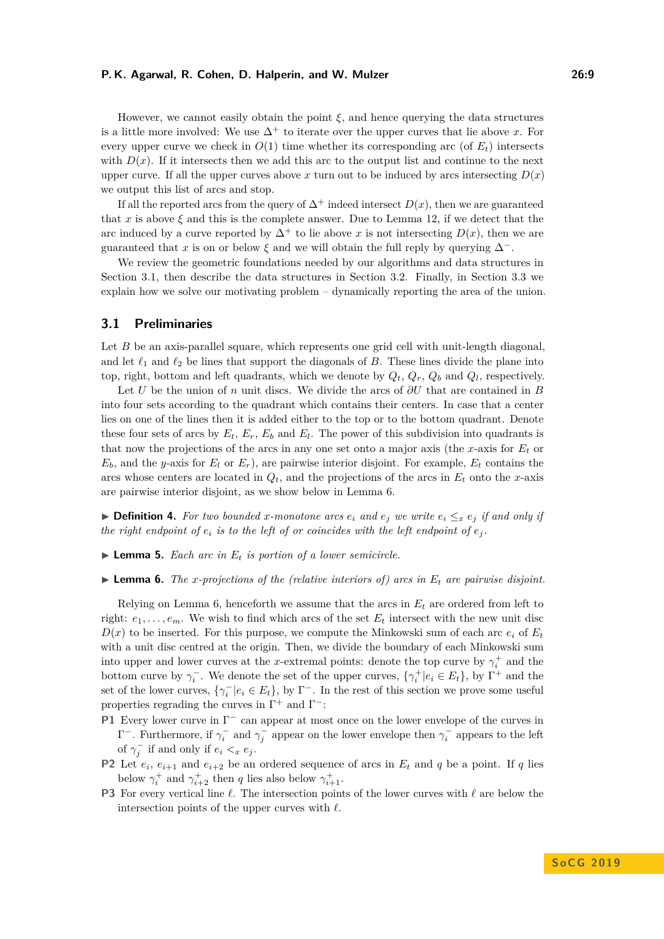However, we cannot easily obtain the point  $\xi$ , and hence querying the data structures is a little more involved: We use  $\Delta^+$  to iterate over the upper curves that lie above x. For every upper curve we check in  $O(1)$  time whether its corresponding arc (of  $E_t$ ) intersects with  $D(x)$ . If it intersects then we add this arc to the output list and continue to the next upper curve. If all the upper curves above  $x$  turn out to be induced by arcs intersecting  $D(x)$ we output this list of arcs and stop.

If all the reported arcs from the query of  $\Delta^+$  indeed intersect  $D(x)$ , then we are guaranteed that *x* is above  $\xi$  and this is the complete answer. Due to Lemma [12,](#page-10-1) if we detect that the arc induced by a curve reported by  $\Delta^+$  to lie above *x* is not intersecting  $D(x)$ , then we are guaranteed that *x* is on or below  $\xi$  and we will obtain the full reply by querying  $\Delta^-$ .

We review the geometric foundations needed by our algorithms and data structures in Section [3.1,](#page-8-0) then describe the data structures in Section [3.2.](#page-10-0) Finally, in Section [3.3](#page-12-0) we explain how we solve our motivating problem – dynamically reporting the area of the union.

## <span id="page-8-0"></span>**3.1 Preliminaries**

Let *B* be an axis-parallel square, which represents one grid cell with unit-length diagonal, and let  $\ell_1$  and  $\ell_2$  be lines that support the diagonals of *B*. These lines divide the plane into top, right, bottom and left quadrants, which we denote by  $Q_t$ ,  $Q_r$ ,  $Q_b$  and  $Q_l$ , respectively.

Let *U* be the union of *n* unit discs. We divide the arcs of *∂U* that are contained in *B* into four sets according to the quadrant which contains their centers. In case that a center lies on one of the lines then it is added either to the top or to the bottom quadrant. Denote these four sets of arcs by  $E_t$ ,  $E_r$ ,  $E_b$  and  $E_l$ . The power of this subdivision into quadrants is that now the projections of the arcs in any one set onto a major axis (the *x*-axis for *E<sup>t</sup>* or  $E_b$ , and the *y*-axis for  $E_l$  or  $E_r$ ), are pairwise interior disjoint. For example,  $E_t$  contains the arcs whose centers are located in  $Q_t$ , and the projections of the arcs in  $E_t$  onto the *x*-axis are pairwise interior disjoint, as we show below in Lemma [6.](#page-8-1)

▶ **Definition 4.** For two bounded x-monotone arcs  $e_i$  and  $e_j$  we write  $e_i ≤_x e_j$  if and only if *the right endpoint of*  $e_i$  *is to the left of or coincides with the left endpoint of*  $e_i$ .

- $\blacktriangleright$  **Lemma 5.** *Each arc in*  $E_t$  *is portion of a lower semicircle.*
- <span id="page-8-1"></span> $\blacktriangleright$  **Lemma 6.** *The x-projections of the (relative interiors of) arcs in*  $E_t$  *are pairwise disjoint.*

Relying on Lemma [6,](#page-8-1) henceforth we assume that the arcs in *E<sup>t</sup>* are ordered from left to right:  $e_1, \ldots, e_m$ . We wish to find which arcs of the set  $E_t$  intersect with the new unit disc  $D(x)$  to be inserted. For this purpose, we compute the Minkowski sum of each arc  $e_i$  of  $E_t$ with a unit disc centred at the origin. Then, we divide the boundary of each Minkowski sum into upper and lower curves at the *x*-extremal points: denote the top curve by  $\gamma_i^+$  and the bottom curve by  $\gamma_i^-$ . We denote the set of the upper curves,  $\{\gamma_i^+ | e_i \in E_t\}$ , by  $\Gamma^+$  and the set of the lower curves,  $\{\gamma_i^- | e_i \in E_t\}$ , by  $\Gamma^-$ . In the rest of this section we prove some useful properties regrading the curves in  $\Gamma^+$  and  $\Gamma^-$ :

- **P1** Every lower curve in Γ<sup>-</sup> can appear at most once on the lower envelope of the curves in  $Γ$ <sup>-</sup>. Furthermore, if  $γ<sub>i</sub><sup>-</sup>$  and  $γ<sub>j</sub><sup>-</sup>$  appear on the lower envelope then  $γ<sub>i</sub><sup>-</sup>$  appears to the left of  $\gamma_j^-$  if and only if  $e_i <_x e_j$ .
- **P2** Let  $e_i$ ,  $e_{i+1}$  and  $e_{i+2}$  be an ordered sequence of arcs in  $E_t$  and  $q$  be a point. If  $q$  lies below  $\gamma_i^+$  and  $\gamma_{i+2}^+$  then *q* lies also below  $\gamma_{i+1}^+$ .
- **P3** For every vertical line  $\ell$ . The intersection points of the lower curves with  $\ell$  are below the intersection points of the upper curves with  $\ell$ .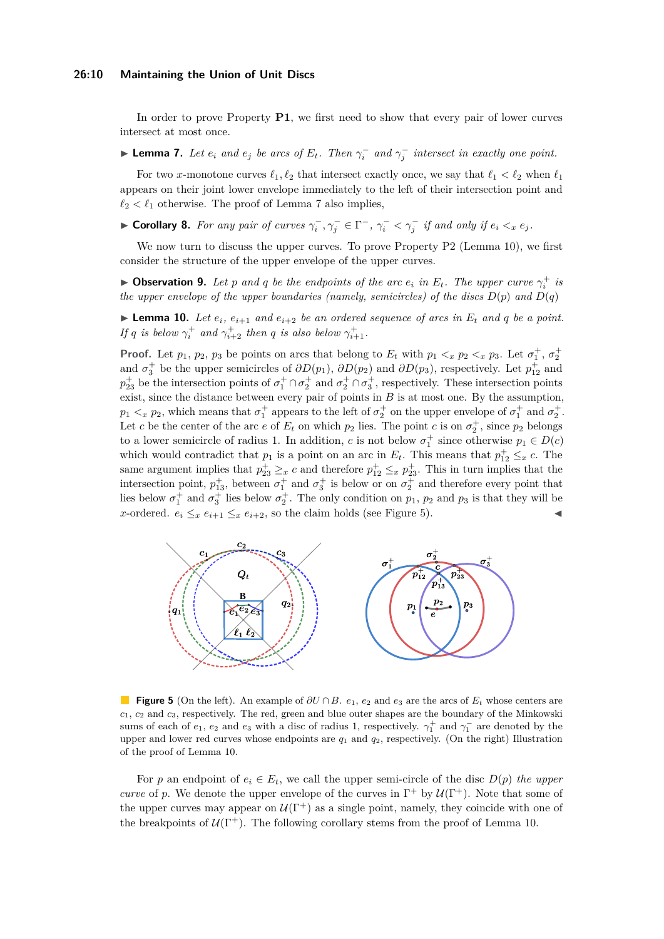#### **26:10 Maintaining the Union of Unit Discs**

In order to prove Property **P1**, we first need to show that every pair of lower curves intersect at most once.

<span id="page-9-0"></span>► **Lemma 7.** Let  $e_i$  and  $e_j$  be arcs of  $E_t$ . Then  $\gamma_i^-$  and  $\gamma_j^-$  intersect in exactly one point.

For two *x*-monotone curves  $\ell_1, \ell_2$  that intersect exactly once, we say that  $\ell_1 < \ell_2$  when  $\ell_1$ appears on their joint lower envelope immediately to the left of their intersection point and  $\ell_2 < \ell_1$  otherwise. The proof of Lemma [7](#page-9-0) also implies,

► Corollary 8. For any pair of curves  $\gamma_i^-$ ,  $\gamma_j^ \in \Gamma^-$ ,  $\gamma_i^-$  <  $\gamma_j^-$  if and only if  $e_i <_x e_j$ .

We now turn to discuss the upper curves. To prove Property P2 (Lemma [10\)](#page-9-1), we first consider the structure of the upper envelope of the upper curves.

**Dbservation 9.** Let *p* and *q* be the endpoints of the arc  $e_i$  in  $E_t$ . The upper curve  $\gamma_i^+$  is *the upper envelope of the upper boundaries (namely, semicircles) of the discs*  $D(p)$  *and*  $D(q)$ 

<span id="page-9-1"></span>**Example 10.** Let  $e_i$ ,  $e_{i+1}$  and  $e_{i+2}$  be an ordered sequence of arcs in  $E_t$  and q be a point. *If q is below*  $\gamma_i^+$  *and*  $\gamma_{i+2}^+$  *then q is also below*  $\gamma_{i+1}^+$ .

**Proof.** Let  $p_1$ ,  $p_2$ ,  $p_3$  be points on arcs that belong to  $E_t$  with  $p_1 <_x p_2 <_x p_3$ . Let  $\sigma_1^+$ ,  $\sigma_2^+$ and  $\sigma_3^+$  be the upper semicircles of  $\partial D(p_1)$ ,  $\partial D(p_2)$  and  $\partial D(p_3)$ , respectively. Let  $p_{12}^+$  and  $p_{23}^+$  be the intersection points of  $\sigma_1^+ \cap \sigma_2^+$  and  $\sigma_2^+ \cap \sigma_3^+$ , respectively. These intersection points exist, since the distance between every pair of points in *B* is at most one. By the assumption,  $p_1 <sub>x</sub> p_2$ , which means that  $\sigma_1^+$  appears to the left of  $\sigma_2^+$  on the upper envelope of  $\sigma_1^+$  and  $\sigma_2^+$ . Let *c* be the center of the arc *e* of  $E_t$  on which  $p_2$  lies. The point *c* is on  $\sigma_2^+$ , since  $p_2$  belongs to a lower semicircle of radius 1. In addition, *c* is not below  $\sigma_1^+$  since otherwise  $p_1 \in D(c)$ which would contradict that  $p_1$  is a point on an arc in  $E_t$ . This means that  $p_{12}^+ \leq_x c$ . The same argument implies that  $p_{23}^{\dagger} \geq_x c$  and therefore  $p_{12}^{\dagger} \leq_x p_{23}^{\dagger}$ . This in turn implies that the intersection point,  $p_{13}^+$ , between  $\sigma_1^+$  and  $\sigma_3^+$  is below or on  $\sigma_2^+$  and therefore every point that lies below  $\sigma_1^+$  and  $\sigma_3^+$  lies below  $\sigma_2^+$ . The only condition on  $p_1$ ,  $p_2$  and  $p_3$  is that they will be *x*-ordered.  $e_i \leq_x e_{i+1} \leq_x e_{i+2}$ , so the claim holds (see Figure [5\)](#page-9-2).

<span id="page-9-2"></span>

**Figure 5** (On the left). An example of *∂U* ∩ *B*. *e*1, *e*<sup>2</sup> and *e*<sup>3</sup> are the arcs of *E<sup>t</sup>* whose centers are *c*1, *c*<sup>2</sup> and *c*3, respectively. The red, green and blue outer shapes are the boundary of the Minkowski sums of each of  $e_1$ ,  $e_2$  and  $e_3$  with a disc of radius 1, respectively.  $\gamma_1^+$  and  $\gamma_1^-$  are denoted by the upper and lower red curves whose endpoints are  $q_1$  and  $q_2$ , respectively. (On the right) Illustration of the proof of Lemma [10.](#page-9-1)

For *p* an endpoint of  $e_i \in E_t$ , we call the upper semi-circle of the disc  $D(p)$  the upper *curve* of p. We denote the upper envelope of the curves in  $\Gamma^+$  by  $\mathcal{U}(\Gamma^+)$ . Note that some of the upper curves may appear on  $U(\Gamma^+)$  as a single point, namely, they coincide with one of the breakpoints of  $U(\Gamma^+)$ . The following corollary stems from the proof of Lemma [10.](#page-9-1)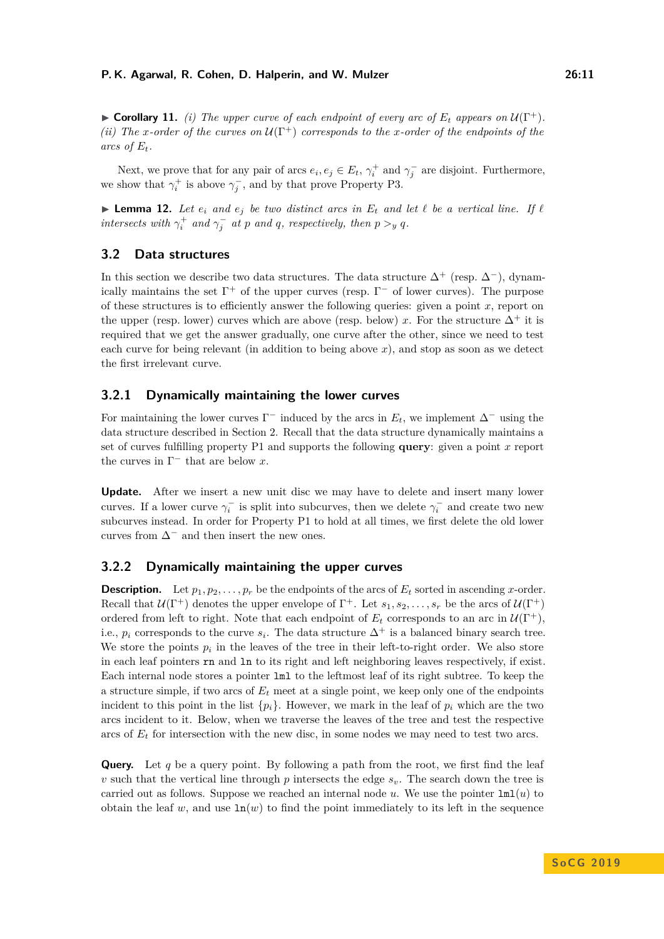$\triangleright$  **Corollary 11.** *(i) The upper curve of each endpoint of every arc of*  $E_t$  *appears on*  $U(\Gamma^+)$ *. (ii)* The *x*-order of the curves on  $\mathcal{U}(\Gamma^+)$  corresponds to the *x*-order of the endpoints of the

Next, we prove that for any pair of arcs  $e_i, e_j \in E_t$ ,  $\gamma_i^+$  and  $\gamma_j^-$  are disjoint. Furthermore, we show that  $\gamma_i^+$  is above  $\gamma_j^-$ , and by that prove Property P3.

<span id="page-10-1"></span>**Example 12.** Let  $e_i$  and  $e_j$  be two distinct arcs in  $E_t$  and let  $\ell$  be a vertical line. If  $\ell$ *intersects with*  $\gamma_i^+$  *and*  $\gamma_j^-$  *at p and q, respectively, then*  $p >_y q$ *.* 

## <span id="page-10-0"></span>**3.2 Data structures**

arcs of  $E_t$ .

In this section we describe two data structures. The data structure  $\Delta^+$  (resp.  $\Delta^-$ ), dynamically maintains the set  $\Gamma^+$  of the upper curves (resp.  $\Gamma^-$  of lower curves). The purpose of these structures is to efficiently answer the following queries: given a point *x*, report on the upper (resp. lower) curves which are above (resp. below) *x*. For the structure  $\Delta^+$  it is required that we get the answer gradually, one curve after the other, since we need to test each curve for being relevant (in addition to being above  $x$ ), and stop as soon as we detect the first irrelevant curve.

# **3.2.1 Dynamically maintaining the lower curves**

For maintaining the lower curves  $\Gamma^-$  induced by the arcs in  $E_t$ , we implement  $\Delta^-$  using the data structure described in Section [2.](#page-2-0) Recall that the data structure dynamically maintains a set of curves fulfilling property P1 and supports the following **query**: given a point *x* report the curves in  $\Gamma^-$  that are below x.

**Update.** After we insert a new unit disc we may have to delete and insert many lower curves. If a lower curve  $\gamma_i^-$  is split into subcurves, then we delete  $\gamma_i^-$  and create two new subcurves instead. In order for Property P1 to hold at all times, we first delete the old lower curves from  $\Delta^-$  and then insert the new ones.

## **3.2.2 Dynamically maintaining the upper curves**

**Description.** Let  $p_1, p_2, \ldots, p_r$  be the endpoints of the arcs of  $E_t$  sorted in ascending *x*-order. Recall that  $U(\Gamma^+)$  denotes the upper envelope of  $\Gamma^+$ . Let  $s_1, s_2, \ldots, s_r$  be the arcs of  $U(\Gamma^+)$ ordered from left to right. Note that each endpoint of  $E_t$  corresponds to an arc in  $\mathcal{U}(\Gamma^+)$ , i.e.,  $p_i$  corresponds to the curve  $s_i$ . The data structure  $\Delta^+$  is a balanced binary search tree. We store the points  $p_i$  in the leaves of the tree in their left-to-right order. We also store in each leaf pointers rn and ln to its right and left neighboring leaves respectively, if exist. Each internal node stores a pointer lml to the leftmost leaf of its right subtree. To keep the a structure simple, if two arcs of  $E_t$  meet at a single point, we keep only one of the endpoints incident to this point in the list  $\{p_i\}$ . However, we mark in the leaf of  $p_i$  which are the two arcs incident to it. Below, when we traverse the leaves of the tree and test the respective arcs of  $E_t$  for intersection with the new disc, in some nodes we may need to test two arcs.

**Query.** Let  $q$  be a query point. By following a path from the root, we first find the leaf *v* such that the vertical line through  $p$  intersects the edge  $s_p$ . The search down the tree is carried out as follows. Suppose we reached an internal node  $u$ . We use the pointer  $\text{Im}(u)$  to obtain the leaf *w*, and use  $ln(w)$  to find the point immediately to its left in the sequence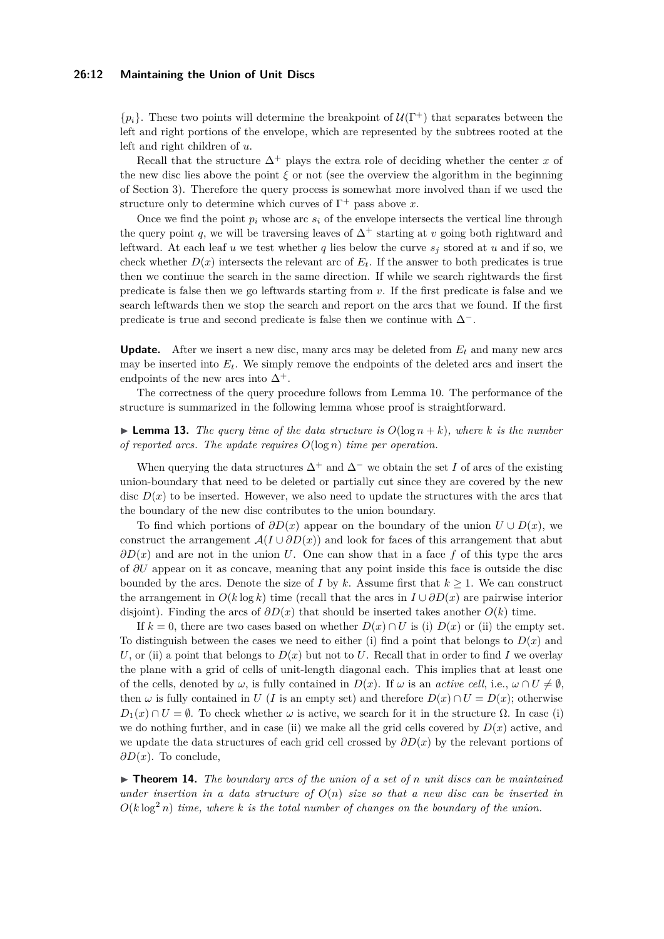#### **26:12 Maintaining the Union of Unit Discs**

 $\{p_i\}$ . These two points will determine the breakpoint of  $\mathcal{U}(\Gamma^+)$  that separates between the left and right portions of the envelope, which are represented by the subtrees rooted at the left and right children of *u*.

Recall that the structure  $\Delta^+$  plays the extra role of deciding whether the center *x* of the new disc lies above the point  $\xi$  or not (see the overview the algorithm in the beginning of Section [3\)](#page-7-0). Therefore the query process is somewhat more involved than if we used the structure only to determine which curves of  $\Gamma^+$  pass above *x*.

Once we find the point  $p_i$  whose arc  $s_i$  of the envelope intersects the vertical line through the query point *q*, we will be traversing leaves of  $\Delta^+$  starting at *v* going both rightward and leftward. At each leaf  $u$  we test whether  $q$  lies below the curve  $s_i$  stored at  $u$  and if so, we check whether  $D(x)$  intersects the relevant arc of  $E_t$ . If the answer to both predicates is true then we continue the search in the same direction. If while we search rightwards the first predicate is false then we go leftwards starting from *v*. If the first predicate is false and we search leftwards then we stop the search and report on the arcs that we found. If the first predicate is true and second predicate is false then we continue with  $\Delta^-$ .

**Update.** After we insert a new disc, many arcs may be deleted from  $E_t$  and many new arcs may be inserted into  $E_t$ . We simply remove the endpoints of the deleted arcs and insert the endpoints of the new arcs into  $\Delta^+$ .

The correctness of the query procedure follows from Lemma [10.](#page-9-1) The performance of the structure is summarized in the following lemma whose proof is straightforward.

## **Example 13.** The query time of the data structure is  $O(\log n + k)$ , where k is the number *of reported arcs. The update requires O*(log *n*) *time per operation.*

When querying the data structures  $\Delta^+$  and  $\Delta^-$  we obtain the set *I* of arcs of the existing union-boundary that need to be deleted or partially cut since they are covered by the new disc  $D(x)$  to be inserted. However, we also need to update the structures with the arcs that the boundary of the new disc contributes to the union boundary.

To find which portions of  $\partial D(x)$  appear on the boundary of the union  $U \cup D(x)$ , we construct the arrangement  $\mathcal{A}(I \cup \partial D(x))$  and look for faces of this arrangement that abut *∂D*(*x*) and are not in the union *U*. One can show that in a face *f* of this type the arcs of *∂U* appear on it as concave, meaning that any point inside this face is outside the disc bounded by the arcs. Denote the size of *I* by *k*. Assume first that  $k \geq 1$ . We can construct the arrangement in  $O(k \log k)$  time (recall that the arcs in  $I \cup \partial D(x)$  are pairwise interior disjoint). Finding the arcs of *∂D*(*x*) that should be inserted takes another *O*(*k*) time.

If  $k = 0$ , there are two cases based on whether  $D(x) \cap U$  is (i)  $D(x)$  or (ii) the empty set. To distinguish between the cases we need to either (i) find a point that belongs to  $D(x)$  and *U*, or (ii) a point that belongs to  $D(x)$  but not to *U*. Recall that in order to find *I* we overlay the plane with a grid of cells of unit-length diagonal each. This implies that at least one of the cells, denoted by  $\omega$ , is fully contained in  $D(x)$ . If  $\omega$  is an *active cell*, i.e.,  $\omega \cap U \neq \emptyset$ , then  $\omega$  is fully contained in *U* (*I* is an empty set) and therefore  $D(x) \cap U = D(x)$ ; otherwise  $D_1(x) \cap U = \emptyset$ . To check whether  $\omega$  is active, we search for it in the structure  $\Omega$ . In case (i) we do nothing further, and in case (ii) we make all the grid cells covered by  $D(x)$  active, and we update the data structures of each grid cell crossed by *∂D*(*x*) by the relevant portions of *∂D*(*x*). To conclude,

<span id="page-11-0"></span>I **Theorem 14.** *The boundary arcs of the union of a set of n unit discs can be maintained under insertion in a data structure of*  $O(n)$  *size so that a new disc can be inserted in*  $O(k \log^2 n)$  *time, where k is the total number of changes on the boundary of the union.*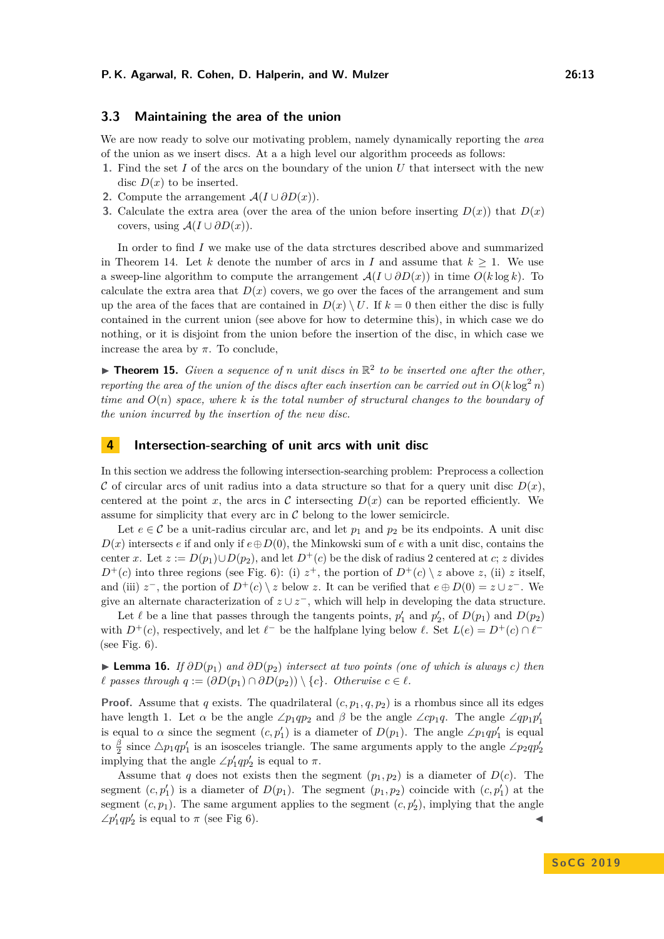### <span id="page-12-0"></span>**3.3 Maintaining the area of the union**

We are now ready to solve our motivating problem, namely dynamically reporting the *area* of the union as we insert discs. At a a high level our algorithm proceeds as follows:

- **1.** Find the set *I* of the arcs on the boundary of the union *U* that intersect with the new disc  $D(x)$  to be inserted.
- 2. Compute the arrangement  $\mathcal{A}(I \cup \partial D(x))$ .
- **3.** Calculate the extra area (over the area of the union before inserting  $D(x)$ ) that  $D(x)$ covers, using  $A(I \cup \partial D(x))$ .

In order to find *I* we make use of the data strctures described above and summarized in Theorem [14.](#page-11-0) Let *k* denote the number of arcs in *I* and assume that  $k \geq 1$ . We use a sweep-line algorithm to compute the arrangement  $\mathcal{A}(I \cup \partial D(x))$  in time  $O(k \log k)$ . To calculate the extra area that  $D(x)$  covers, we go over the faces of the arrangement and sum up the area of the faces that are contained in  $D(x) \setminus U$ . If  $k = 0$  then either the disc is fully contained in the current union (see above for how to determine this), in which case we do nothing, or it is disjoint from the union before the insertion of the disc, in which case we increase the area by  $\pi$ . To conclude,

**Theorem 15.** *Given a sequence of n unit discs in*  $\mathbb{R}^2$  to be inserted one after the other, *reporting the area of the union of the discs after each insertion can be carried out in*  $O(k \log^2 n)$ *time and O*(*n*) *space, where k is the total number of structural changes to the boundary of the union incurred by the insertion of the new disc.*

# **4 Intersection-searching of unit arcs with unit disc**

In this section we address the following intersection-searching problem: Preprocess a collection C of circular arcs of unit radius into a data structure so that for a query unit disc  $D(x)$ , centered at the point x, the arcs in C intersecting  $D(x)$  can be reported efficiently. We assume for simplicity that every arc in  $C$  belong to the lower semicircle.

Let  $e \in \mathcal{C}$  be a unit-radius circular arc, and let  $p_1$  and  $p_2$  be its endpoints. A unit disc  $D(x)$  intersects *e* if and only if  $e \oplus D(0)$ , the Minkowski sum of *e* with a unit disc, contains the center *x*. Let  $z := D(p_1) \cup D(p_2)$ , and let  $D^+(c)$  be the disk of radius 2 centered at *c*; *z* divides  $D^+(c)$  into three regions (see Fig. [6\)](#page-13-3): (i)  $z^+$ , the portion of  $D^+(c) \setminus z$  above *z*, (ii) *z* itself, and (iii)  $z^-$ , the portion of  $D^+(c) \setminus z$  below  $z$ . It can be verified that  $e \oplus D(0) = z \cup z^-$ . We give an alternate characterization of  $z \cup z^-$ , which will help in developing the data structure.

Let  $\ell$  be a line that passes through the tangents points,  $p'_1$  and  $p'_2$ , of  $D(p_1)$  and  $D(p_2)$ with  $D^+(c)$ , respectively, and let  $\ell^-$  be the halfplane lying below  $\ell$ . Set  $L(e) = D^+(c) \cap \ell^-$ (see Fig. [6\)](#page-13-3).

<span id="page-12-1"></span>► **Lemma 16.** *If*  $\partial D(p_1)$  *and*  $\partial D(p_2)$  *intersect at two points (one of which is always c) then l* passes through  $q := (\partial D(p_1) \cap \partial D(p_2)) \setminus \{c\}$ . Otherwise  $c \in \ell$ .

**Proof.** Assume that *q* exists. The quadrilateral  $(c, p_1, q, p_2)$  is a rhombus since all its edges have length 1. Let  $\alpha$  be the angle ∠*p*<sub>1</sub>*qp*<sub>2</sub> and  $\beta$  be the angle ∠*cp*<sub>1</sub>*q*. The angle ∠*qp*<sub>1</sub>*p*<sup>1</sup><sub>1</sub> is equal to  $\alpha$  since the segment  $(c, p_1')$  is a diameter of  $D(p_1)$ . The angle  $\angle p_1qp_1'$  is equal to  $\frac{\beta}{2}$  since  $\Delta p_1 q p_1'$  is an isosceles triangle. The same arguments apply to the angle  $\angle p_2 q p_2'$ implying that the angle  $\angle p'_1qp'_2$  is equal to  $\pi$ .

Assume that *q* does not exists then the segment  $(p_1, p_2)$  is a diameter of  $D(c)$ . The segment  $(c, p'_1)$  is a diameter of  $D(p_1)$ . The segment  $(p_1, p_2)$  coincide with  $(c, p'_1)$  at the segment  $(c, p_1)$ . The same argument applies to the segment  $(c, p'_2)$ , implying that the angle  $\angle p'_1qp'_2$  is equal to  $\pi$  (see Fig [6\)](#page-13-3).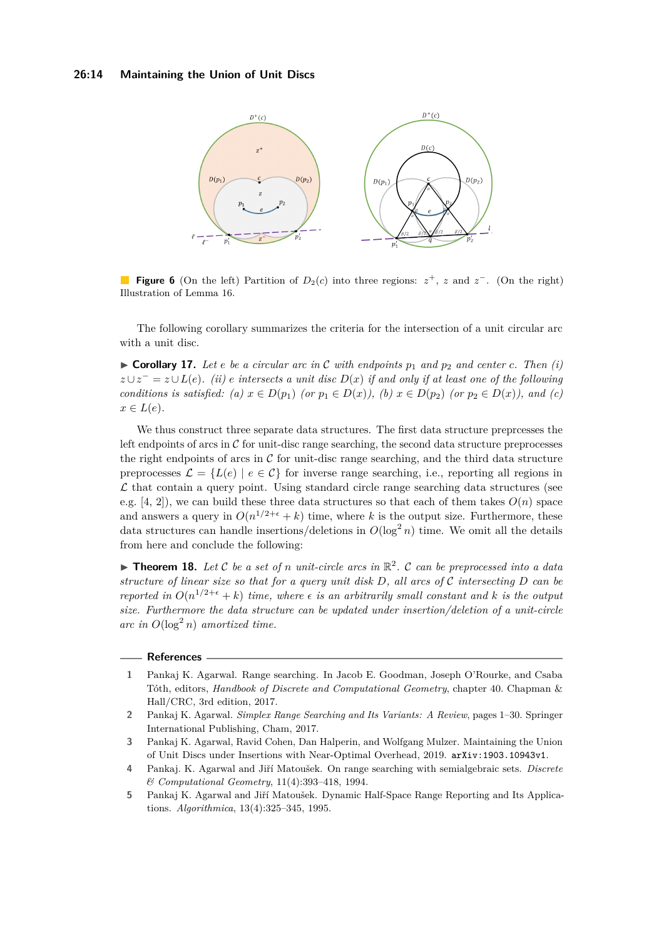<span id="page-13-3"></span>

**Figure 6** (On the left) Partition of  $D_2(c)$  into three regions:  $z^+$ , *z* and  $z^-$ . (On the right) Illustration of Lemma [16.](#page-12-1)

The following corollary summarizes the criteria for the intersection of a unit circular arc with a unit disc.

 $\triangleright$  **Corollary 17.** Let *e* be a circular arc in C with endpoints  $p_1$  and  $p_2$  and center *c*. Then (i)  $z \cup z^- = z \cup L(e)$ *. (ii) e intersects a unit disc*  $D(x)$  *if and only if at least one of the following conditions is satisfied: (a)*  $x \in D(p_1)$  *(or*  $p_1 \in D(x)$ *), (b)*  $x \in D(p_2)$  *(or*  $p_2 \in D(x)$ *), and (c)*  $x \in L(e)$ .

We thus construct three separate data structures. The first data structure preprcesses the left endpoints of arcs in  $\mathcal C$  for unit-disc range searching, the second data structure preprocesses the right endpoints of arcs in  $\mathcal C$  for unit-disc range searching, and the third data structure preprocesses  $\mathcal{L} = \{L(e) \mid e \in C\}$  for inverse range searching, i.e., reporting all regions in  $\mathcal L$  that contain a query point. Using standard circle range searching data structures (see e.g.  $[4, 2]$  $[4, 2]$  $[4, 2]$ , we can build these three data structures so that each of them takes  $O(n)$  space and answers a query in  $O(n^{1/2+\epsilon} + k)$  time, where k is the output size. Furthermore, these data structures can handle insertions/deletions in  $O(\log^2 n)$  time. We omit all the details from here and conclude the following:

**Theorem 18.** Let C be a set of *n* unit-circle arcs in  $\mathbb{R}^2$ . C can be preprocessed into a data *structure of linear size so that for a query unit disk D, all arcs of* C *intersecting D can be reported in*  $O(n^{1/2+\epsilon} + k)$  *time, where*  $\epsilon$  *is an arbitrarily small constant and*  $k$  *is the output size. Furthermore the data structure can be updated under insertion/deletion of a unit-circle*  $\int$ *arc* in  $O(\log^2 n)$  *amortized time.* 

#### **References**

- <span id="page-13-2"></span>**1** Pankaj K. Agarwal. Range searching. In Jacob E. Goodman, Joseph O'Rourke, and Csaba Tóth, editors, *Handbook of Discrete and Computational Geometry*, chapter 40. Chapman & Hall/CRC, 3rd edition, 2017.
- <span id="page-13-5"></span>**2** Pankaj K. Agarwal. *Simplex Range Searching and Its Variants: A Review*, pages 1–30. Springer International Publishing, Cham, 2017.
- <span id="page-13-0"></span>**3** Pankaj K. Agarwal, Ravid Cohen, Dan Halperin, and Wolfgang Mulzer. Maintaining the Union of Unit Discs under Insertions with Near-Optimal Overhead, 2019. [arXiv:1903.10943v1](http://arxiv.org/abs/1903.10943v1).
- <span id="page-13-4"></span>**4** Pankaj. K. Agarwal and Jiří Matoušek. On range searching with semialgebraic sets. *Discrete & Computational Geometry*, 11(4):393–418, 1994.
- <span id="page-13-1"></span>**5** Pankaj K. Agarwal and Jiří Matoušek. Dynamic Half-Space Range Reporting and Its Applications. *Algorithmica*, 13(4):325–345, 1995.